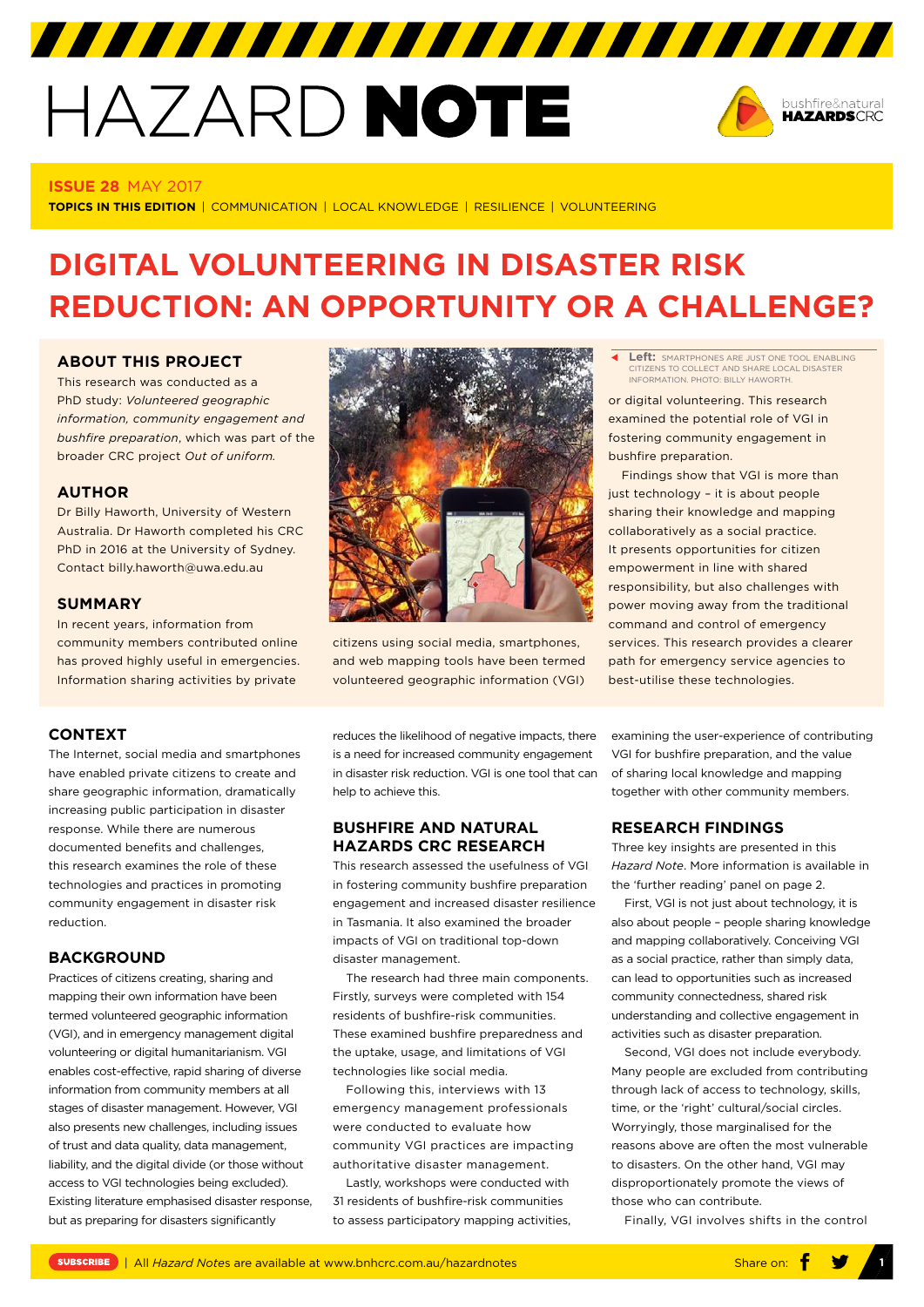# HAZARD NOTE



#### **ISSUE 28** MAY 2017

**TOPICS IN THIS EDITION** | COMMUNICATION | LOCAL KNOWLEDGE | RESILIENCE | VOLUNTEERING

## **DIGITAL VOLUNTEERING IN DISASTER RISK REDUCTION: AN OPPORTUNITY OR A CHALLENGE?**

#### **ABOUT THIS PROJECT**

This research was conducted as a PhD study: *[Volunteered geographic](http://www.bnhcrc.com.au/research/resilient-people-infrastructure-and-institutions/1064)  [information, community engagement and](http://www.bnhcrc.com.au/research/resilient-people-infrastructure-and-institutions/1064)  [bushfire preparation](http://www.bnhcrc.com.au/research/resilient-people-infrastructure-and-institutions/1064)*, which was part of the broader CRC project *[Out of uniform.](http://www.bnhcrc.com.au/research/hazard-resilience/248)*

#### **AUTHOR**

Dr Billy Haworth, University of Western Australia. Dr Haworth completed his CRC PhD in 2016 at the University of Sydney. Contact billy.haworth@uwa.edu.au

#### **SUMMARY**

In recent years, information from community members contributed online has proved highly useful in emergencies. Information sharing activities by private

### **CONTEXT**

The Internet, social media and smartphones have enabled private citizens to create and share geographic information, dramatically increasing public participation in disaster response. While there are numerous documented benefits and challenges, this research examines the role of these technologies and practices in promoting community engagement in disaster risk reduction.

#### **BACKGROUND**

Practices of citizens creating, sharing and mapping their own information have been termed volunteered geographic information (VGI), and in emergency management digital volunteering or digital humanitarianism. VGI enables cost-effective, rapid sharing of diverse information from community members at all stages of disaster management. However, VGI also presents new challenges, including issues of trust and data quality, data management, liability, and the digital divide (or those without access to VGI technologies being excluded). Existing literature emphasised disaster response, but as preparing for disasters significantly



citizens using social media, smartphones, and web mapping tools have been termed volunteered geographic information (VGI)

reduces the likelihood of negative impacts, there is a need for increased community engagement in disaster risk reduction. VGI is one tool that can help to achieve this.

#### **BUSHFIRE AND NATURAL HAZARDS CRC RESEARCH**

This research assessed the usefulness of VGI in fostering community bushfire preparation engagement and increased disaster resilience in Tasmania. It also examined the broader impacts of VGI on traditional top-down disaster management.

The research had three main components. Firstly, surveys were completed with 154 residents of bushfire-risk communities. These examined bushfire preparedness and the uptake, usage, and limitations of VGI technologies like social media.

Following this, interviews with 13 emergency management professionals were conducted to evaluate how community VGI practices are impacting authoritative disaster management.

Lastly, workshops were conducted with 31 residents of bushfire-risk communities to assess participatory mapping activities,

**Left:** SMARTPHONES ARE JUST ONE TOOL ENABLING ₹ CITIZENS TO COLLECT AND SHARE LOCAL DISASTER INFORMATION. PHOTO: BILLY HAWORTH.

or digital volunteering. This research examined the potential role of VGI in fostering community engagement in bushfire preparation.

Findings show that VGI is more than just technology – it is about people sharing their knowledge and mapping collaboratively as a social practice. It presents opportunities for citizen empowerment in line with shared responsibility, but also challenges with power moving away from the traditional command and control of emergency services. This research provides a clearer path for emergency service agencies to best-utilise these technologies.

examining the user-experience of contributing VGI for bushfire preparation, and the value of sharing local knowledge and mapping together with other community members.

#### **RESEARCH FINDINGS**

Three key insights are presented in this *Hazard Note*. More information is available in the 'further reading' panel on page 2.

First, VGI is not just about technology, it is also about people – people sharing knowledge and mapping collaboratively. Conceiving VGI as a social practice, rather than simply data, can lead to opportunities such as increased community connectedness, shared risk understanding and collective engagement in activities such as disaster preparation.

Second, VGI does not include everybody. Many people are excluded from contributing through lack of access to technology, skills, time, or the 'right' cultural/social circles. Worryingly, those marginalised for the reasons above are often the most vulnerable to disasters. On the other hand, VGI may disproportionately promote the views of those who can contribute.

Finally, VGI involves shifts in the control